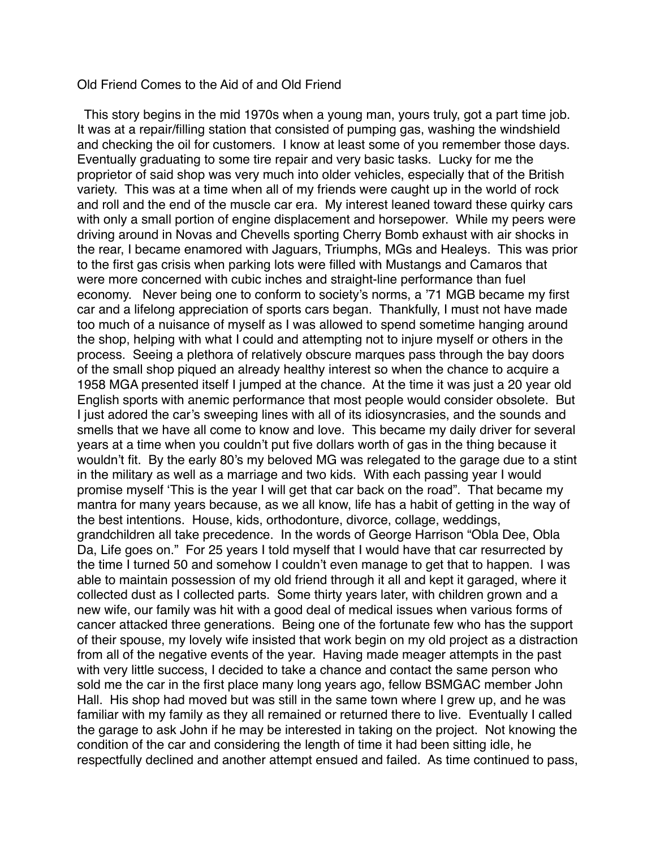## Old Friend Comes to the Aid of and Old Friend

 This story begins in the mid 1970s when a young man, yours truly, got a part time job. It was at a repair/filling station that consisted of pumping gas, washing the windshield and checking the oil for customers. I know at least some of you remember those days. Eventually graduating to some tire repair and very basic tasks. Lucky for me the proprietor of said shop was very much into older vehicles, especially that of the British variety. This was at a time when all of my friends were caught up in the world of rock and roll and the end of the muscle car era. My interest leaned toward these quirky cars with only a small portion of engine displacement and horsepower. While my peers were driving around in Novas and Chevells sporting Cherry Bomb exhaust with air shocks in the rear, I became enamored with Jaguars, Triumphs, MGs and Healeys. This was prior to the first gas crisis when parking lots were filled with Mustangs and Camaros that were more concerned with cubic inches and straight-line performance than fuel economy. Never being one to conform to society's norms, a '71 MGB became my first car and a lifelong appreciation of sports cars began. Thankfully, I must not have made too much of a nuisance of myself as I was allowed to spend sometime hanging around the shop, helping with what I could and attempting not to injure myself or others in the process. Seeing a plethora of relatively obscure marques pass through the bay doors of the small shop piqued an already healthy interest so when the chance to acquire a 1958 MGA presented itself I jumped at the chance. At the time it was just a 20 year old English sports with anemic performance that most people would consider obsolete. But I just adored the car's sweeping lines with all of its idiosyncrasies, and the sounds and smells that we have all come to know and love. This became my daily driver for several years at a time when you couldn't put five dollars worth of gas in the thing because it wouldn't fit. By the early 80's my beloved MG was relegated to the garage due to a stint in the military as well as a marriage and two kids. With each passing year I would promise myself 'This is the year I will get that car back on the road". That became my mantra for many years because, as we all know, life has a habit of getting in the way of the best intentions. House, kids, orthodonture, divorce, collage, weddings, grandchildren all take precedence. In the words of George Harrison "Obla Dee, Obla Da, Life goes on." For 25 years I told myself that I would have that car resurrected by the time I turned 50 and somehow I couldn't even manage to get that to happen. I was able to maintain possession of my old friend through it all and kept it garaged, where it collected dust as I collected parts. Some thirty years later, with children grown and a new wife, our family was hit with a good deal of medical issues when various forms of cancer attacked three generations. Being one of the fortunate few who has the support of their spouse, my lovely wife insisted that work begin on my old project as a distraction from all of the negative events of the year. Having made meager attempts in the past with very little success, I decided to take a chance and contact the same person who sold me the car in the first place many long years ago, fellow BSMGAC member John Hall. His shop had moved but was still in the same town where I grew up, and he was familiar with my family as they all remained or returned there to live. Eventually I called the garage to ask John if he may be interested in taking on the project. Not knowing the condition of the car and considering the length of time it had been sitting idle, he respectfully declined and another attempt ensued and failed. As time continued to pass,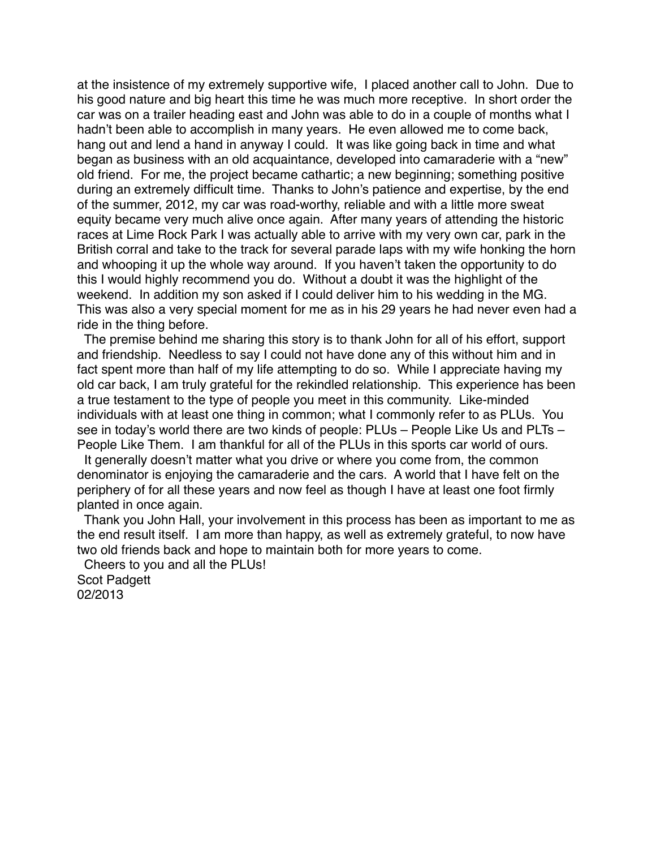at the insistence of my extremely supportive wife, I placed another call to John. Due to his good nature and big heart this time he was much more receptive. In short order the car was on a trailer heading east and John was able to do in a couple of months what I hadn't been able to accomplish in many years. He even allowed me to come back, hang out and lend a hand in anyway I could. It was like going back in time and what began as business with an old acquaintance, developed into camaraderie with a "new" old friend. For me, the project became cathartic; a new beginning; something positive during an extremely difficult time. Thanks to John's patience and expertise, by the end of the summer, 2012, my car was road-worthy, reliable and with a little more sweat equity became very much alive once again. After many years of attending the historic races at Lime Rock Park I was actually able to arrive with my very own car, park in the British corral and take to the track for several parade laps with my wife honking the horn and whooping it up the whole way around. If you haven't taken the opportunity to do this I would highly recommend you do. Without a doubt it was the highlight of the weekend. In addition my son asked if I could deliver him to his wedding in the MG. This was also a very special moment for me as in his 29 years he had never even had a ride in the thing before.

 The premise behind me sharing this story is to thank John for all of his effort, support and friendship. Needless to say I could not have done any of this without him and in fact spent more than half of my life attempting to do so. While I appreciate having my old car back, I am truly grateful for the rekindled relationship. This experience has been a true testament to the type of people you meet in this community. Like-minded individuals with at least one thing in common; what I commonly refer to as PLUs. You see in today's world there are two kinds of people: PLUs – People Like Us and PLTs – People Like Them. I am thankful for all of the PLUs in this sports car world of ours.

 It generally doesn't matter what you drive or where you come from, the common denominator is enjoying the camaraderie and the cars. A world that I have felt on the periphery of for all these years and now feel as though I have at least one foot firmly planted in once again.

 Thank you John Hall, your involvement in this process has been as important to me as the end result itself. I am more than happy, as well as extremely grateful, to now have two old friends back and hope to maintain both for more years to come.

 Cheers to you and all the PLUs! Scot Padgett 02/2013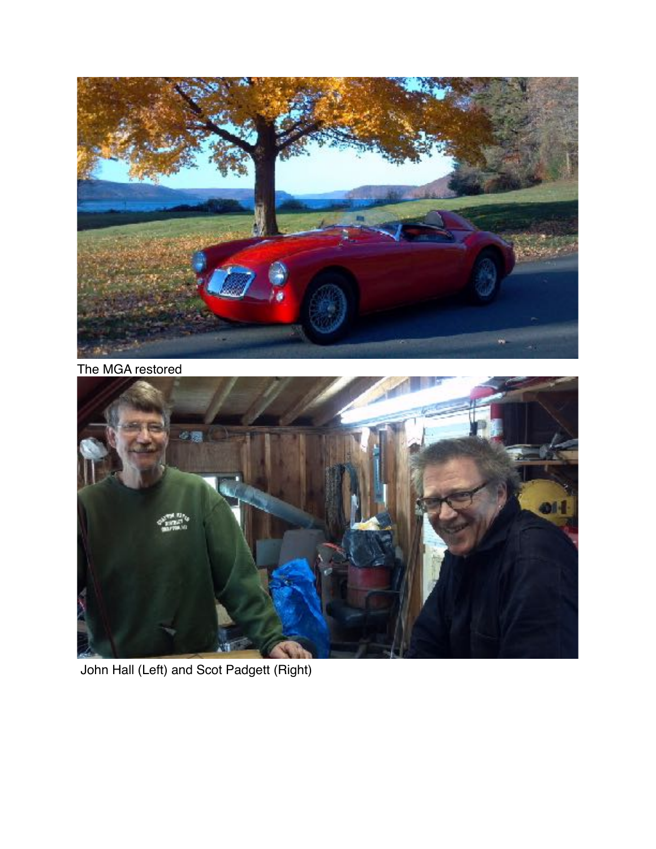

The MGA restored



John Hall (Left) and Scot Padgett (Right)